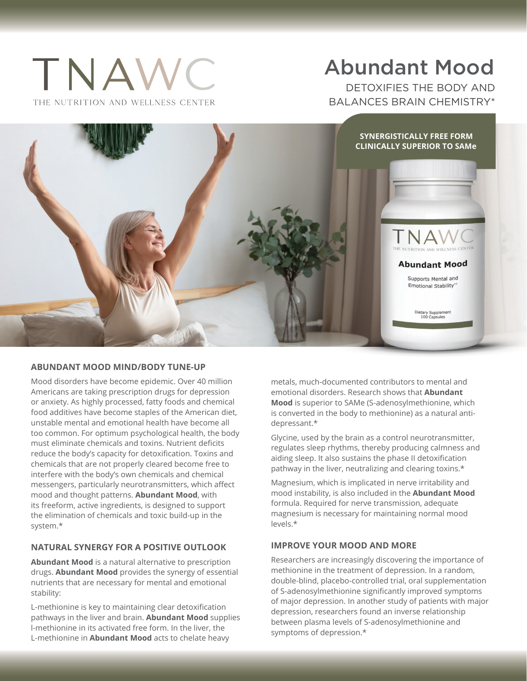# TNAWC THE NUTRITION AND WELLNESS CENTER

## Abundant Mood

DETOXIFIES THE BODY AND BALANCES BRAIN CHEMISTRY\*



### **ABUNDANT MOOD MIND/BODY TUNE-UP**

Mood disorders have become epidemic. Over 40 million Americans are taking prescription drugs for depression or anxiety. As highly processed, fatty foods and chemical food additives have become staples of the American diet, unstable mental and emotional health have become all too common. For optimum psychological health, the body must eliminate chemicals and toxins. Nutrient deficits reduce the body's capacity for detoxification. Toxins and chemicals that are not properly cleared become free to interfere with the body's own chemicals and chemical messengers, particularly neurotransmitters, which affect mood and thought patterns. **Abundant Mood**, with its freeform, active ingredients, is designed to support the elimination of chemicals and toxic build-up in the system.\*

### **NATURAL SYNERGY FOR A POSITIVE OUTLOOK**

**Abundant Mood** is a natural alternative to prescription drugs. **Abundant Mood** provides the synergy of essential nutrients that are necessary for mental and emotional stability:

L-methionine is key to maintaining clear detoxification pathways in the liver and brain. **Abundant Mood** supplies l-methionine in its activated free form. In the liver, the L-methionine in **Abundant Mood** acts to chelate heavy

metals, much-documented contributors to mental and emotional disorders. Research shows that **Abundant Mood** is superior to SAMe (S-adenosylmethionine, which is converted in the body to methionine) as a natural antidepressant.\*

Glycine, used by the brain as a control neurotransmitter, regulates sleep rhythms, thereby producing calmness and aiding sleep. It also sustains the phase II detoxification pathway in the liver, neutralizing and clearing toxins.\*

Magnesium, which is implicated in nerve irritability and mood instability, is also included in the **Abundant Mood** formula. Required for nerve transmission, adequate magnesium is necessary for maintaining normal mood levels.\*

### **IMPROVE YOUR MOOD AND MORE**

Researchers are increasingly discovering the importance of methionine in the treatment of depression. In a random, double-blind, placebo-controlled trial, oral supplementation of S-adenosylmethionine significantly improved symptoms of major depression. In another study of patients with major depression, researchers found an inverse relationship between plasma levels of S-adenosylmethionine and symptoms of depression.\*